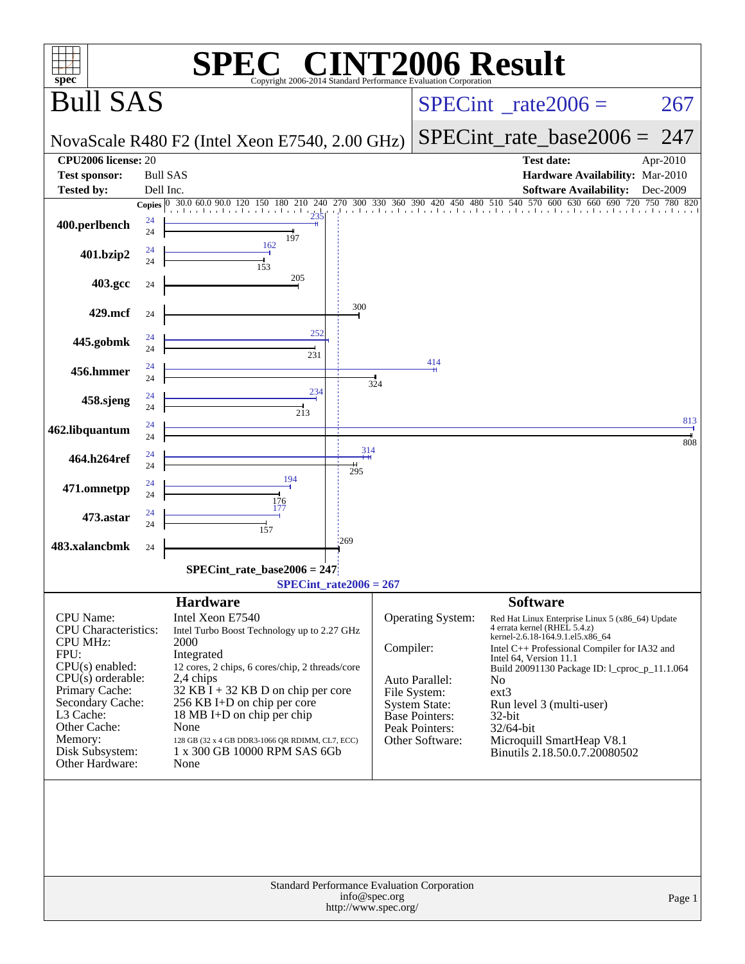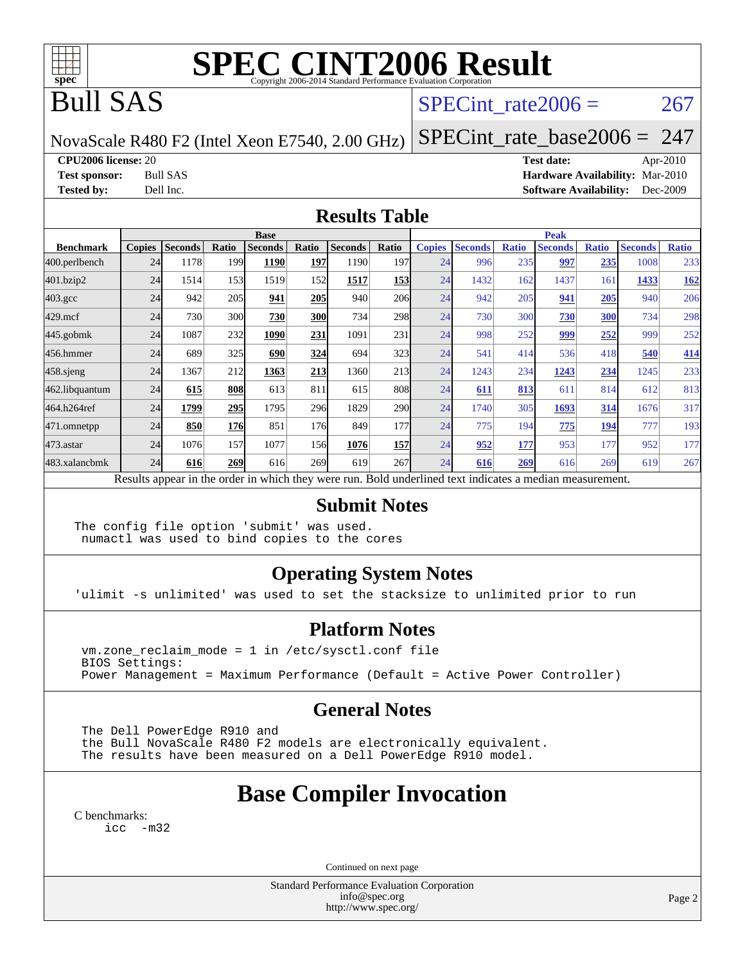

# **[SPEC CINT2006 Result](http://www.spec.org/auto/cpu2006/Docs/result-fields.html#SPECCINT2006Result)**

## Bull SAS

### SPECint rate $2006 = 267$

NovaScale R480 F2 (Intel Xeon E7540, 2.00 GHz)

[SPECint\\_rate\\_base2006 =](http://www.spec.org/auto/cpu2006/Docs/result-fields.html#SPECintratebase2006) 247

**[CPU2006 license:](http://www.spec.org/auto/cpu2006/Docs/result-fields.html#CPU2006license)** 20 **[Test date:](http://www.spec.org/auto/cpu2006/Docs/result-fields.html#Testdate)** Apr-2010

**[Test sponsor:](http://www.spec.org/auto/cpu2006/Docs/result-fields.html#Testsponsor)** Bull SAS **[Hardware Availability:](http://www.spec.org/auto/cpu2006/Docs/result-fields.html#HardwareAvailability)** Mar-2010 **[Tested by:](http://www.spec.org/auto/cpu2006/Docs/result-fields.html#Testedby)** Dell Inc. **[Software Availability:](http://www.spec.org/auto/cpu2006/Docs/result-fields.html#SoftwareAvailability)** Dec-2009

#### **[Results Table](http://www.spec.org/auto/cpu2006/Docs/result-fields.html#ResultsTable)**

|                  | <b>Base</b>                                                                                              |                |            |                |            |                |            |               | <b>Peak</b>    |              |                |              |                |              |  |
|------------------|----------------------------------------------------------------------------------------------------------|----------------|------------|----------------|------------|----------------|------------|---------------|----------------|--------------|----------------|--------------|----------------|--------------|--|
| <b>Benchmark</b> | <b>Copies</b>                                                                                            | <b>Seconds</b> | Ratio      | <b>Seconds</b> | Ratio      | <b>Seconds</b> | Ratio      | <b>Copies</b> | <b>Seconds</b> | <b>Ratio</b> | <b>Seconds</b> | <b>Ratio</b> | <b>Seconds</b> | <b>Ratio</b> |  |
| 400.perlbench    | 24                                                                                                       | 1178           | 199        | 1190           | 197        | 1190           | 197        | 24            | 996            | 235          | 997            | <u>235</u>   | 1008           | 233          |  |
| 401.bzip2        | 24                                                                                                       | 1514           | 153        | 1519           | 152        | 1517           | 153        | 24            | 1432           | 162          | 1437           | 161          | 1433           | <b>162</b>   |  |
| $403.\text{gcc}$ | 24                                                                                                       | 942            | 205        | 941            | 205        | 940            | 206        | 24            | 942            | 205          | 941            | 205          | 940            | 206          |  |
| $429$ .mcf       | 24                                                                                                       | 730            | 300        | 730            | <b>300</b> | 734            | 298        | 24            | 730            | 300          | 730            | 300          | 734            | 298          |  |
| $445$ .gobm $k$  | 24                                                                                                       | 1087           | 232        | 1090           | 231        | 1091           | 231        | 24            | 998            | 252          | 999            | 252          | 999            | 252          |  |
| 456.hmmer        | 24                                                                                                       | 689            | 325        | 690            | 324        | 694            | 323        | 24            | 541            | 414          | 536            | 418          | 540            | 414          |  |
| $458$ .sjeng     | 24                                                                                                       | 1367           | 212        | 1363           | 213        | 1360           | 213        | 24            | 1243           | 234          | 1243           | 234          | 1245           | 233          |  |
| 462.libquantum   | 24                                                                                                       | 615            | 808        | 613            | 811        | 615            | 808        | 24            | 611            | 813          | 611            | 814          | 612            | 813          |  |
| 464.h264ref      | 24                                                                                                       | 1799           | 295        | 1795           | 296        | 1829           | <b>290</b> | 24            | 1740           | 305          | 1693           | 314          | 1676           | 317          |  |
| 471.omnetpp      | 24                                                                                                       | 850            | <b>176</b> | 851            | 176        | 849            | 177        | 24            | 775            | 194          | 775            | 194          | 777            | 193          |  |
| $473$ . astar    | 24                                                                                                       | 1076           | 157        | 1077           | 156        | 1076           | 157        | 24            | 952            | 177          | 953            | 177          | 952            | 177          |  |
| 483.xalancbmk    | 24                                                                                                       | 616            | 269        | 616            | 269        | 619            | 267        | 24            | 616            | 269          | 616            | 269          | 619            | 267          |  |
|                  | Results appear in the order in which they were run. Bold underlined text indicates a median measurement. |                |            |                |            |                |            |               |                |              |                |              |                |              |  |

#### **[Submit Notes](http://www.spec.org/auto/cpu2006/Docs/result-fields.html#SubmitNotes)**

The config file option 'submit' was used. numactl was used to bind copies to the cores

#### **[Operating System Notes](http://www.spec.org/auto/cpu2006/Docs/result-fields.html#OperatingSystemNotes)**

'ulimit -s unlimited' was used to set the stacksize to unlimited prior to run

#### **[Platform Notes](http://www.spec.org/auto/cpu2006/Docs/result-fields.html#PlatformNotes)**

 vm.zone\_reclaim\_mode = 1 in /etc/sysctl.conf file BIOS Settings: Power Management = Maximum Performance (Default = Active Power Controller)

#### **[General Notes](http://www.spec.org/auto/cpu2006/Docs/result-fields.html#GeneralNotes)**

 The Dell PowerEdge R910 and the Bull NovaScale R480 F2 models are electronically equivalent. The results have been measured on a Dell PowerEdge R910 model.

## **[Base Compiler Invocation](http://www.spec.org/auto/cpu2006/Docs/result-fields.html#BaseCompilerInvocation)**

[C benchmarks](http://www.spec.org/auto/cpu2006/Docs/result-fields.html#Cbenchmarks):

[icc -m32](http://www.spec.org/cpu2006/results/res2010q3/cpu2006-20100621-11925.flags.html#user_CCbase_intel_icc_32bit_5ff4a39e364c98233615fdd38438c6f2)

Continued on next page

Standard Performance Evaluation Corporation [info@spec.org](mailto:info@spec.org) <http://www.spec.org/>

Page 2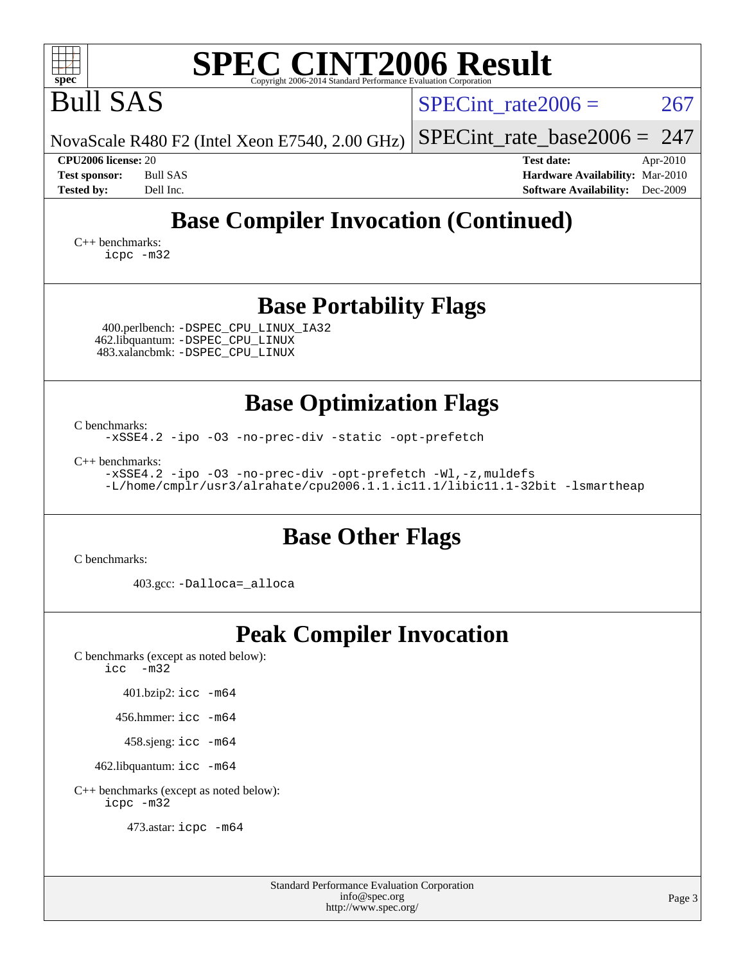| <b>SPEC CINT2006 Result</b>                                                                                                                                                                                                                                                   |                                                                                                               |  |  |  |  |  |  |  |
|-------------------------------------------------------------------------------------------------------------------------------------------------------------------------------------------------------------------------------------------------------------------------------|---------------------------------------------------------------------------------------------------------------|--|--|--|--|--|--|--|
| $spec^*$<br>Copyright 2006-2014 Standard Performance Evaluation Corporation<br><b>Bull SAS</b>                                                                                                                                                                                | $SPECint$ rate $2006 =$<br>267                                                                                |  |  |  |  |  |  |  |
| NovaScale R480 F2 (Intel Xeon E7540, 2.00 GHz)                                                                                                                                                                                                                                | $SPECint_rate\_base2006 = 247$                                                                                |  |  |  |  |  |  |  |
| CPU2006 license: 20<br><b>Bull SAS</b><br><b>Test sponsor:</b><br><b>Tested by:</b><br>Dell Inc.                                                                                                                                                                              | <b>Test date:</b><br>Apr-2010<br>Hardware Availability: Mar-2010<br><b>Software Availability:</b><br>Dec-2009 |  |  |  |  |  |  |  |
| <b>Base Compiler Invocation (Continued)</b><br>$C_{++}$ benchmarks:<br>icpc -m32                                                                                                                                                                                              |                                                                                                               |  |  |  |  |  |  |  |
| <b>Base Portability Flags</b><br>400.perlbench: -DSPEC_CPU_LINUX_IA32<br>462.libquantum: - DSPEC_CPU_LINUX<br>483.xalancbmk: -DSPEC_CPU_LINUX                                                                                                                                 |                                                                                                               |  |  |  |  |  |  |  |
| <b>Base Optimization Flags</b><br>C benchmarks:<br>-xSSE4.2 -ipo -03 -no-prec-div -static -opt-prefetch<br>$C_{++}$ benchmarks:<br>-xSSE4.2 -ipo -03 -no-prec-div -opt-prefetch -Wl,-z, muldefs<br>-L/home/cmplr/usr3/alrahate/cpu2006.1.1.ic11.1/libic11.1-32bit -lsmartheap |                                                                                                               |  |  |  |  |  |  |  |
| <b>Base Other Flags</b><br>C benchmarks:<br>403.gcc: -Dalloca=_alloca                                                                                                                                                                                                         |                                                                                                               |  |  |  |  |  |  |  |
| <b>Peak Compiler Invocation</b><br>C benchmarks (except as noted below):<br>$-m32$<br>icc<br>401.bzip2: icc -m64<br>456.hmmer: icc -m64<br>458.sjeng: icc -m64<br>462.libquantum: icc -m64<br>C++ benchmarks (except as noted below):                                         |                                                                                                               |  |  |  |  |  |  |  |

[icpc -m32](http://www.spec.org/cpu2006/results/res2010q3/cpu2006-20100621-11925.flags.html#user_CXXpeak_intel_icpc_32bit_4e5a5ef1a53fd332b3c49e69c3330699)

473.astar: [icpc -m64](http://www.spec.org/cpu2006/results/res2010q3/cpu2006-20100621-11925.flags.html#user_peakCXXLD473_astar_intel_icpc_64bit_fc66a5337ce925472a5c54ad6a0de310)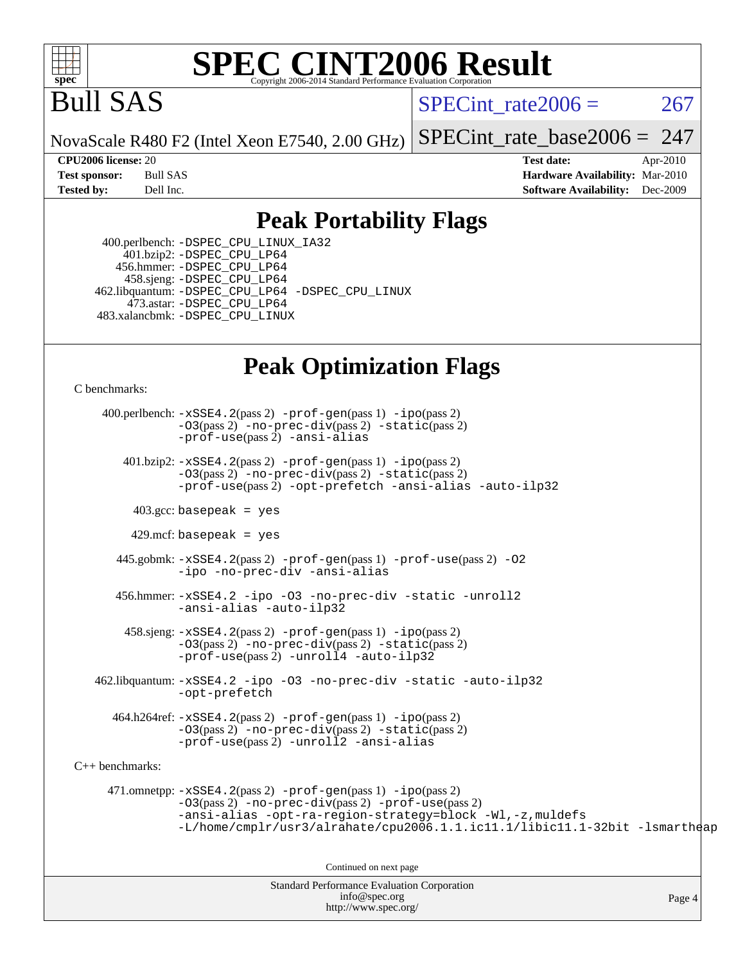![](_page_3_Picture_0.jpeg)

# **[SPEC CINT2006 Result](http://www.spec.org/auto/cpu2006/Docs/result-fields.html#SPECCINT2006Result)**

## Bull SAS

SPECint rate $2006 = 267$ 

NovaScale R480 F2 (Intel Xeon E7540, 2.00 GHz)

[SPECint\\_rate\\_base2006 =](http://www.spec.org/auto/cpu2006/Docs/result-fields.html#SPECintratebase2006)  $247$ 

Page 4

**[CPU2006 license:](http://www.spec.org/auto/cpu2006/Docs/result-fields.html#CPU2006license)** 20 **[Test date:](http://www.spec.org/auto/cpu2006/Docs/result-fields.html#Testdate)** Apr-2010 **[Test sponsor:](http://www.spec.org/auto/cpu2006/Docs/result-fields.html#Testsponsor)** Bull SAS **[Hardware Availability:](http://www.spec.org/auto/cpu2006/Docs/result-fields.html#HardwareAvailability)** Mar-2010 **[Tested by:](http://www.spec.org/auto/cpu2006/Docs/result-fields.html#Testedby)** Dell Inc. **[Software Availability:](http://www.spec.org/auto/cpu2006/Docs/result-fields.html#SoftwareAvailability)** Dec-2009

### **[Peak Portability Flags](http://www.spec.org/auto/cpu2006/Docs/result-fields.html#PeakPortabilityFlags)**

 400.perlbench: [-DSPEC\\_CPU\\_LINUX\\_IA32](http://www.spec.org/cpu2006/results/res2010q3/cpu2006-20100621-11925.flags.html#b400.perlbench_peakCPORTABILITY_DSPEC_CPU_LINUX_IA32) 401.bzip2: [-DSPEC\\_CPU\\_LP64](http://www.spec.org/cpu2006/results/res2010q3/cpu2006-20100621-11925.flags.html#suite_peakCPORTABILITY401_bzip2_DSPEC_CPU_LP64) 456.hmmer: [-DSPEC\\_CPU\\_LP64](http://www.spec.org/cpu2006/results/res2010q3/cpu2006-20100621-11925.flags.html#suite_peakCPORTABILITY456_hmmer_DSPEC_CPU_LP64) 458.sjeng: [-DSPEC\\_CPU\\_LP64](http://www.spec.org/cpu2006/results/res2010q3/cpu2006-20100621-11925.flags.html#suite_peakCPORTABILITY458_sjeng_DSPEC_CPU_LP64) 462.libquantum: [-DSPEC\\_CPU\\_LP64](http://www.spec.org/cpu2006/results/res2010q3/cpu2006-20100621-11925.flags.html#suite_peakCPORTABILITY462_libquantum_DSPEC_CPU_LP64) [-DSPEC\\_CPU\\_LINUX](http://www.spec.org/cpu2006/results/res2010q3/cpu2006-20100621-11925.flags.html#b462.libquantum_peakCPORTABILITY_DSPEC_CPU_LINUX) 473.astar: [-DSPEC\\_CPU\\_LP64](http://www.spec.org/cpu2006/results/res2010q3/cpu2006-20100621-11925.flags.html#suite_peakCXXPORTABILITY473_astar_DSPEC_CPU_LP64) 483.xalancbmk: [-DSPEC\\_CPU\\_LINUX](http://www.spec.org/cpu2006/results/res2010q3/cpu2006-20100621-11925.flags.html#b483.xalancbmk_peakCXXPORTABILITY_DSPEC_CPU_LINUX)

## **[Peak Optimization Flags](http://www.spec.org/auto/cpu2006/Docs/result-fields.html#PeakOptimizationFlags)**

[C benchmarks](http://www.spec.org/auto/cpu2006/Docs/result-fields.html#Cbenchmarks):

Standard Performance Evaluation Corporation 400.perlbench: [-xSSE4.2](http://www.spec.org/cpu2006/results/res2010q3/cpu2006-20100621-11925.flags.html#user_peakPASS2_CFLAGSPASS2_LDCFLAGS400_perlbench_f-xSSE42_f91528193cf0b216347adb8b939d4107)(pass 2) [-prof-gen](http://www.spec.org/cpu2006/results/res2010q3/cpu2006-20100621-11925.flags.html#user_peakPASS1_CFLAGSPASS1_LDCFLAGS400_perlbench_prof_gen_e43856698f6ca7b7e442dfd80e94a8fc)(pass 1) [-ipo](http://www.spec.org/cpu2006/results/res2010q3/cpu2006-20100621-11925.flags.html#user_peakPASS2_CFLAGSPASS2_LDCFLAGS400_perlbench_f-ipo)(pass 2) [-O3](http://www.spec.org/cpu2006/results/res2010q3/cpu2006-20100621-11925.flags.html#user_peakPASS2_CFLAGSPASS2_LDCFLAGS400_perlbench_f-O3)(pass 2) [-no-prec-div](http://www.spec.org/cpu2006/results/res2010q3/cpu2006-20100621-11925.flags.html#user_peakPASS2_CFLAGSPASS2_LDCFLAGS400_perlbench_f-no-prec-div)(pass 2) [-static](http://www.spec.org/cpu2006/results/res2010q3/cpu2006-20100621-11925.flags.html#user_peakPASS2_CFLAGSPASS2_LDCFLAGS400_perlbench_f-static)(pass 2) [-prof-use](http://www.spec.org/cpu2006/results/res2010q3/cpu2006-20100621-11925.flags.html#user_peakPASS2_CFLAGSPASS2_LDCFLAGS400_perlbench_prof_use_bccf7792157ff70d64e32fe3e1250b55)(pass 2) [-ansi-alias](http://www.spec.org/cpu2006/results/res2010q3/cpu2006-20100621-11925.flags.html#user_peakCOPTIMIZE400_perlbench_f-ansi-alias) 401.bzip2: [-xSSE4.2](http://www.spec.org/cpu2006/results/res2010q3/cpu2006-20100621-11925.flags.html#user_peakPASS2_CFLAGSPASS2_LDCFLAGS401_bzip2_f-xSSE42_f91528193cf0b216347adb8b939d4107)(pass 2) [-prof-gen](http://www.spec.org/cpu2006/results/res2010q3/cpu2006-20100621-11925.flags.html#user_peakPASS1_CFLAGSPASS1_LDCFLAGS401_bzip2_prof_gen_e43856698f6ca7b7e442dfd80e94a8fc)(pass 1) [-ipo](http://www.spec.org/cpu2006/results/res2010q3/cpu2006-20100621-11925.flags.html#user_peakPASS2_CFLAGSPASS2_LDCFLAGS401_bzip2_f-ipo)(pass 2) [-O3](http://www.spec.org/cpu2006/results/res2010q3/cpu2006-20100621-11925.flags.html#user_peakPASS2_CFLAGSPASS2_LDCFLAGS401_bzip2_f-O3)(pass 2) [-no-prec-div](http://www.spec.org/cpu2006/results/res2010q3/cpu2006-20100621-11925.flags.html#user_peakPASS2_CFLAGSPASS2_LDCFLAGS401_bzip2_f-no-prec-div)(pass 2) [-static](http://www.spec.org/cpu2006/results/res2010q3/cpu2006-20100621-11925.flags.html#user_peakPASS2_CFLAGSPASS2_LDCFLAGS401_bzip2_f-static)(pass 2) [-prof-use](http://www.spec.org/cpu2006/results/res2010q3/cpu2006-20100621-11925.flags.html#user_peakPASS2_CFLAGSPASS2_LDCFLAGS401_bzip2_prof_use_bccf7792157ff70d64e32fe3e1250b55)(pass 2) [-opt-prefetch](http://www.spec.org/cpu2006/results/res2010q3/cpu2006-20100621-11925.flags.html#user_peakCOPTIMIZE401_bzip2_f-opt-prefetch) [-ansi-alias](http://www.spec.org/cpu2006/results/res2010q3/cpu2006-20100621-11925.flags.html#user_peakCOPTIMIZE401_bzip2_f-ansi-alias) [-auto-ilp32](http://www.spec.org/cpu2006/results/res2010q3/cpu2006-20100621-11925.flags.html#user_peakCOPTIMIZE401_bzip2_f-auto-ilp32)  $403.\text{gcc: basepeak}$  = yes  $429$ .mcf: basepeak = yes 445.gobmk: [-xSSE4.2](http://www.spec.org/cpu2006/results/res2010q3/cpu2006-20100621-11925.flags.html#user_peakPASS2_CFLAGSPASS2_LDCFLAGS445_gobmk_f-xSSE42_f91528193cf0b216347adb8b939d4107)(pass 2) [-prof-gen](http://www.spec.org/cpu2006/results/res2010q3/cpu2006-20100621-11925.flags.html#user_peakPASS1_CFLAGSPASS1_LDCFLAGS445_gobmk_prof_gen_e43856698f6ca7b7e442dfd80e94a8fc)(pass 1) [-prof-use](http://www.spec.org/cpu2006/results/res2010q3/cpu2006-20100621-11925.flags.html#user_peakPASS2_CFLAGSPASS2_LDCFLAGS445_gobmk_prof_use_bccf7792157ff70d64e32fe3e1250b55)(pass 2) [-O2](http://www.spec.org/cpu2006/results/res2010q3/cpu2006-20100621-11925.flags.html#user_peakCOPTIMIZE445_gobmk_f-O2) [-ipo](http://www.spec.org/cpu2006/results/res2010q3/cpu2006-20100621-11925.flags.html#user_peakCOPTIMIZE445_gobmk_f-ipo) [-no-prec-div](http://www.spec.org/cpu2006/results/res2010q3/cpu2006-20100621-11925.flags.html#user_peakCOPTIMIZE445_gobmk_f-no-prec-div) [-ansi-alias](http://www.spec.org/cpu2006/results/res2010q3/cpu2006-20100621-11925.flags.html#user_peakCOPTIMIZE445_gobmk_f-ansi-alias) 456.hmmer: [-xSSE4.2](http://www.spec.org/cpu2006/results/res2010q3/cpu2006-20100621-11925.flags.html#user_peakCOPTIMIZE456_hmmer_f-xSSE42_f91528193cf0b216347adb8b939d4107) [-ipo](http://www.spec.org/cpu2006/results/res2010q3/cpu2006-20100621-11925.flags.html#user_peakCOPTIMIZE456_hmmer_f-ipo) [-O3](http://www.spec.org/cpu2006/results/res2010q3/cpu2006-20100621-11925.flags.html#user_peakCOPTIMIZE456_hmmer_f-O3) [-no-prec-div](http://www.spec.org/cpu2006/results/res2010q3/cpu2006-20100621-11925.flags.html#user_peakCOPTIMIZE456_hmmer_f-no-prec-div) [-static](http://www.spec.org/cpu2006/results/res2010q3/cpu2006-20100621-11925.flags.html#user_peakCOPTIMIZE456_hmmer_f-static) [-unroll2](http://www.spec.org/cpu2006/results/res2010q3/cpu2006-20100621-11925.flags.html#user_peakCOPTIMIZE456_hmmer_f-unroll_784dae83bebfb236979b41d2422d7ec2) [-ansi-alias](http://www.spec.org/cpu2006/results/res2010q3/cpu2006-20100621-11925.flags.html#user_peakCOPTIMIZE456_hmmer_f-ansi-alias) [-auto-ilp32](http://www.spec.org/cpu2006/results/res2010q3/cpu2006-20100621-11925.flags.html#user_peakCOPTIMIZE456_hmmer_f-auto-ilp32) 458.sjeng: [-xSSE4.2](http://www.spec.org/cpu2006/results/res2010q3/cpu2006-20100621-11925.flags.html#user_peakPASS2_CFLAGSPASS2_LDCFLAGS458_sjeng_f-xSSE42_f91528193cf0b216347adb8b939d4107)(pass 2) [-prof-gen](http://www.spec.org/cpu2006/results/res2010q3/cpu2006-20100621-11925.flags.html#user_peakPASS1_CFLAGSPASS1_LDCFLAGS458_sjeng_prof_gen_e43856698f6ca7b7e442dfd80e94a8fc)(pass 1) [-ipo](http://www.spec.org/cpu2006/results/res2010q3/cpu2006-20100621-11925.flags.html#user_peakPASS2_CFLAGSPASS2_LDCFLAGS458_sjeng_f-ipo)(pass 2) [-O3](http://www.spec.org/cpu2006/results/res2010q3/cpu2006-20100621-11925.flags.html#user_peakPASS2_CFLAGSPASS2_LDCFLAGS458_sjeng_f-O3)(pass 2) [-no-prec-div](http://www.spec.org/cpu2006/results/res2010q3/cpu2006-20100621-11925.flags.html#user_peakPASS2_CFLAGSPASS2_LDCFLAGS458_sjeng_f-no-prec-div)(pass 2) [-static](http://www.spec.org/cpu2006/results/res2010q3/cpu2006-20100621-11925.flags.html#user_peakPASS2_CFLAGSPASS2_LDCFLAGS458_sjeng_f-static)(pass 2) [-prof-use](http://www.spec.org/cpu2006/results/res2010q3/cpu2006-20100621-11925.flags.html#user_peakPASS2_CFLAGSPASS2_LDCFLAGS458_sjeng_prof_use_bccf7792157ff70d64e32fe3e1250b55)(pass 2) [-unroll4](http://www.spec.org/cpu2006/results/res2010q3/cpu2006-20100621-11925.flags.html#user_peakCOPTIMIZE458_sjeng_f-unroll_4e5e4ed65b7fd20bdcd365bec371b81f) [-auto-ilp32](http://www.spec.org/cpu2006/results/res2010q3/cpu2006-20100621-11925.flags.html#user_peakCOPTIMIZE458_sjeng_f-auto-ilp32) 462.libquantum: [-xSSE4.2](http://www.spec.org/cpu2006/results/res2010q3/cpu2006-20100621-11925.flags.html#user_peakCOPTIMIZE462_libquantum_f-xSSE42_f91528193cf0b216347adb8b939d4107) [-ipo](http://www.spec.org/cpu2006/results/res2010q3/cpu2006-20100621-11925.flags.html#user_peakCOPTIMIZE462_libquantum_f-ipo) [-O3](http://www.spec.org/cpu2006/results/res2010q3/cpu2006-20100621-11925.flags.html#user_peakCOPTIMIZE462_libquantum_f-O3) [-no-prec-div](http://www.spec.org/cpu2006/results/res2010q3/cpu2006-20100621-11925.flags.html#user_peakCOPTIMIZE462_libquantum_f-no-prec-div) [-static](http://www.spec.org/cpu2006/results/res2010q3/cpu2006-20100621-11925.flags.html#user_peakCOPTIMIZE462_libquantum_f-static) [-auto-ilp32](http://www.spec.org/cpu2006/results/res2010q3/cpu2006-20100621-11925.flags.html#user_peakCOPTIMIZE462_libquantum_f-auto-ilp32) [-opt-prefetch](http://www.spec.org/cpu2006/results/res2010q3/cpu2006-20100621-11925.flags.html#user_peakCOPTIMIZE462_libquantum_f-opt-prefetch) 464.h264ref: [-xSSE4.2](http://www.spec.org/cpu2006/results/res2010q3/cpu2006-20100621-11925.flags.html#user_peakPASS2_CFLAGSPASS2_LDCFLAGS464_h264ref_f-xSSE42_f91528193cf0b216347adb8b939d4107)(pass 2) [-prof-gen](http://www.spec.org/cpu2006/results/res2010q3/cpu2006-20100621-11925.flags.html#user_peakPASS1_CFLAGSPASS1_LDCFLAGS464_h264ref_prof_gen_e43856698f6ca7b7e442dfd80e94a8fc)(pass 1) [-ipo](http://www.spec.org/cpu2006/results/res2010q3/cpu2006-20100621-11925.flags.html#user_peakPASS2_CFLAGSPASS2_LDCFLAGS464_h264ref_f-ipo)(pass 2) [-O3](http://www.spec.org/cpu2006/results/res2010q3/cpu2006-20100621-11925.flags.html#user_peakPASS2_CFLAGSPASS2_LDCFLAGS464_h264ref_f-O3)(pass 2) [-no-prec-div](http://www.spec.org/cpu2006/results/res2010q3/cpu2006-20100621-11925.flags.html#user_peakPASS2_CFLAGSPASS2_LDCFLAGS464_h264ref_f-no-prec-div)(pass 2) [-static](http://www.spec.org/cpu2006/results/res2010q3/cpu2006-20100621-11925.flags.html#user_peakPASS2_CFLAGSPASS2_LDCFLAGS464_h264ref_f-static)(pass 2) [-prof-use](http://www.spec.org/cpu2006/results/res2010q3/cpu2006-20100621-11925.flags.html#user_peakPASS2_CFLAGSPASS2_LDCFLAGS464_h264ref_prof_use_bccf7792157ff70d64e32fe3e1250b55)(pass 2) [-unroll2](http://www.spec.org/cpu2006/results/res2010q3/cpu2006-20100621-11925.flags.html#user_peakCOPTIMIZE464_h264ref_f-unroll_784dae83bebfb236979b41d2422d7ec2) [-ansi-alias](http://www.spec.org/cpu2006/results/res2010q3/cpu2006-20100621-11925.flags.html#user_peakCOPTIMIZE464_h264ref_f-ansi-alias) [C++ benchmarks:](http://www.spec.org/auto/cpu2006/Docs/result-fields.html#CXXbenchmarks) 471.omnetpp: [-xSSE4.2](http://www.spec.org/cpu2006/results/res2010q3/cpu2006-20100621-11925.flags.html#user_peakPASS2_CXXFLAGSPASS2_LDCXXFLAGS471_omnetpp_f-xSSE42_f91528193cf0b216347adb8b939d4107)(pass 2) [-prof-gen](http://www.spec.org/cpu2006/results/res2010q3/cpu2006-20100621-11925.flags.html#user_peakPASS1_CXXFLAGSPASS1_LDCXXFLAGS471_omnetpp_prof_gen_e43856698f6ca7b7e442dfd80e94a8fc)(pass 1) [-ipo](http://www.spec.org/cpu2006/results/res2010q3/cpu2006-20100621-11925.flags.html#user_peakPASS2_CXXFLAGSPASS2_LDCXXFLAGS471_omnetpp_f-ipo)(pass 2) [-O3](http://www.spec.org/cpu2006/results/res2010q3/cpu2006-20100621-11925.flags.html#user_peakPASS2_CXXFLAGSPASS2_LDCXXFLAGS471_omnetpp_f-O3)(pass 2) [-no-prec-div](http://www.spec.org/cpu2006/results/res2010q3/cpu2006-20100621-11925.flags.html#user_peakPASS2_CXXFLAGSPASS2_LDCXXFLAGS471_omnetpp_f-no-prec-div)(pass 2) [-prof-use](http://www.spec.org/cpu2006/results/res2010q3/cpu2006-20100621-11925.flags.html#user_peakPASS2_CXXFLAGSPASS2_LDCXXFLAGS471_omnetpp_prof_use_bccf7792157ff70d64e32fe3e1250b55)(pass 2) [-ansi-alias](http://www.spec.org/cpu2006/results/res2010q3/cpu2006-20100621-11925.flags.html#user_peakCXXOPTIMIZE471_omnetpp_f-ansi-alias) [-opt-ra-region-strategy=block](http://www.spec.org/cpu2006/results/res2010q3/cpu2006-20100621-11925.flags.html#user_peakCXXOPTIMIZE471_omnetpp_f-opt-ra-region-strategy-block_a0a37c372d03933b2a18d4af463c1f69) [-Wl,-z,muldefs](http://www.spec.org/cpu2006/results/res2010q3/cpu2006-20100621-11925.flags.html#user_peakEXTRA_LDFLAGS471_omnetpp_link_force_multiple1_74079c344b956b9658436fd1b6dd3a8a) [-L/home/cmplr/usr3/alrahate/cpu2006.1.1.ic11.1/libic11.1-32bit -lsmartheap](http://www.spec.org/cpu2006/results/res2010q3/cpu2006-20100621-11925.flags.html#user_peakEXTRA_LIBS471_omnetpp_SmartHeap_d86dffe4a79b79ef8890d5cce17030c3) Continued on next page

[info@spec.org](mailto:info@spec.org) <http://www.spec.org/>